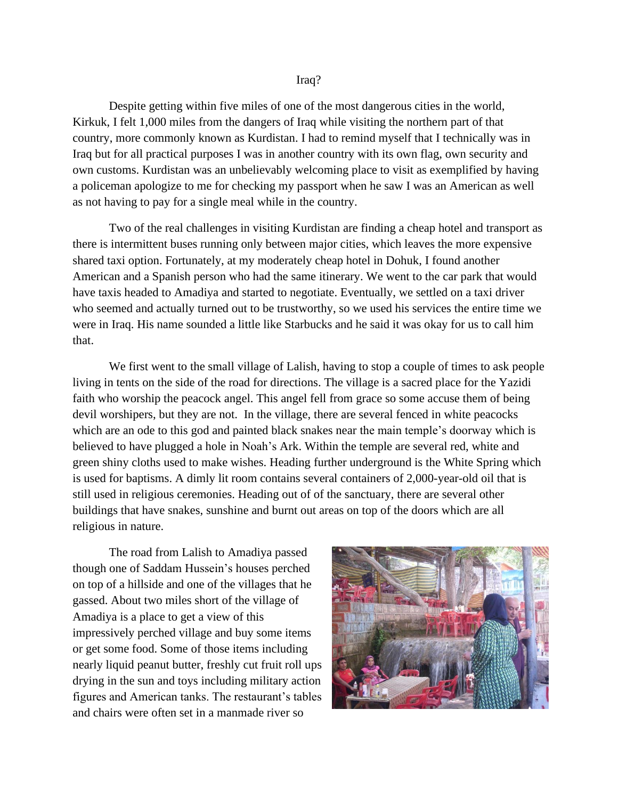## Iraq?

Despite getting within five miles of one of the most dangerous cities in the world, Kirkuk, I felt 1,000 miles from the dangers of Iraq while visiting the northern part of that country, more commonly known as Kurdistan. I had to remind myself that I technically was in Iraq but for all practical purposes I was in another country with its own flag, own security and own customs. Kurdistan was an unbelievably welcoming place to visit as exemplified by having a policeman apologize to me for checking my passport when he saw I was an American as well as not having to pay for a single meal while in the country.

Two of the real challenges in visiting Kurdistan are finding a cheap hotel and transport as there is intermittent buses running only between major cities, which leaves the more expensive shared taxi option. Fortunately, at my moderately cheap hotel in Dohuk, I found another American and a Spanish person who had the same itinerary. We went to the car park that would have taxis headed to Amadiya and started to negotiate. Eventually, we settled on a taxi driver who seemed and actually turned out to be trustworthy, so we used his services the entire time we were in Iraq. His name sounded a little like Starbucks and he said it was okay for us to call him that.

We first went to the small village of Lalish, having to stop a couple of times to ask people living in tents on the side of the road for directions. The village is a sacred place for the Yazidi faith who worship the peacock angel. This angel fell from grace so some accuse them of being devil worshipers, but they are not. In the village, there are several fenced in white peacocks which are an ode to this god and painted black snakes near the main temple's doorway which is believed to have plugged a hole in Noah's Ark. Within the temple are several red, white and green shiny cloths used to make wishes. Heading further underground is the White Spring which is used for baptisms. A dimly lit room contains several containers of 2,000-year-old oil that is still used in religious ceremonies. Heading out of of the sanctuary, there are several other buildings that have snakes, sunshine and burnt out areas on top of the doors which are all religious in nature.

The road from Lalish to Amadiya passed though one of Saddam Hussein's houses perched on top of a hillside and one of the villages that he gassed. About two miles short of the village of Amadiya is a place to get a view of this impressively perched village and buy some items or get some food. Some of those items including nearly liquid peanut butter, freshly cut fruit roll ups drying in the sun and toys including military action figures and American tanks. The restaurant's tables and chairs were often set in a manmade river so

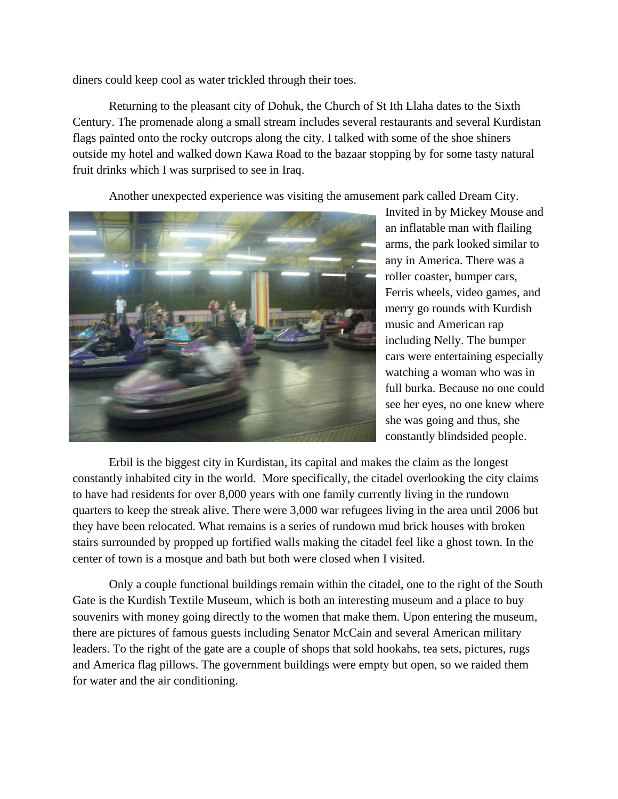diners could keep cool as water trickled through their toes.

Returning to the pleasant city of Dohuk, the Church of St Ith Llaha dates to the Sixth Century. The promenade along a small stream includes several restaurants and several Kurdistan flags painted onto the rocky outcrops along the city. I talked with some of the shoe shiners outside my hotel and walked down Kawa Road to the bazaar stopping by for some tasty natural fruit drinks which I was surprised to see in Iraq.

Another unexpected experience was visiting the amusement park called Dream City.



Invited in by Mickey Mouse and an inflatable man with flailing arms, the park looked similar to any in America. There was a roller coaster, bumper cars, Ferris wheels, video games, and merry go rounds with Kurdish music and American rap including Nelly. The bumper cars were entertaining especially watching a woman who was in full burka. Because no one could see her eyes, no one knew where she was going and thus, she constantly blindsided people.

Erbil is the biggest city in Kurdistan, its capital and makes the claim as the longest constantly inhabited city in the world. More specifically, the citadel overlooking the city claims to have had residents for over 8,000 years with one family currently living in the rundown quarters to keep the streak alive. There were 3,000 war refugees living in the area until 2006 but they have been relocated. What remains is a series of rundown mud brick houses with broken stairs surrounded by propped up fortified walls making the citadel feel like a ghost town. In the center of town is a mosque and bath but both were closed when I visited.

Only a couple functional buildings remain within the citadel, one to the right of the South Gate is the Kurdish Textile Museum, which is both an interesting museum and a place to buy souvenirs with money going directly to the women that make them. Upon entering the museum, there are pictures of famous guests including Senator McCain and several American military leaders. To the right of the gate are a couple of shops that sold hookahs, tea sets, pictures, rugs and America flag pillows. The government buildings were empty but open, so we raided them for water and the air conditioning.